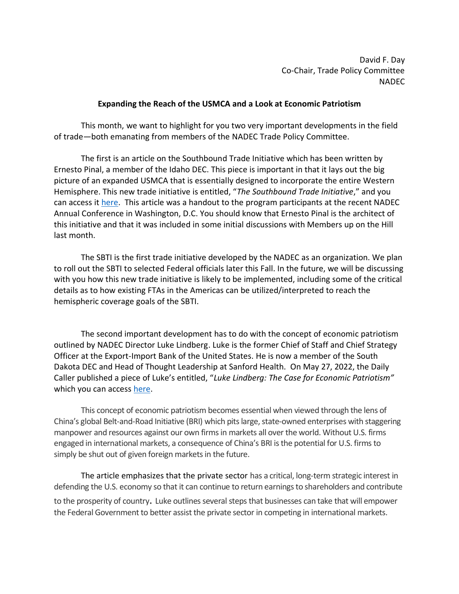David F. Day Co-Chair, Trade Policy Committee NADEC

## **Expanding the Reach of the USMCA and a Look at Economic Patriotism**

This month, we want to highlight for you two very important developments in the field of trade—both emanating from members of the NADEC Trade Policy Committee.

The first is an article on the Southbound Trade Initiative which has been written by Ernesto Pinal, a member of the Idaho DEC. This piece is important in that it lays out the big picture of an expanded USMCA that is essentially designed to incorporate the entire Western Hemisphere. This new trade initiative is entitled, "*The Southbound Trade Initiative*," and you can access it [here.](https://www.usaexporter.org/wp-content/uploads/2022/06/Southbound-Trade-Initiative-General-Overview-SA-II-V3.0-8-May-2022-1.pdf) This article was a handout to the program participants at the recent NADEC Annual Conference in Washington, D.C. You should know that Ernesto Pinal is the architect of this initiative and that it was included in some initial discussions with Members up on the Hill last month.

The SBTI is the first trade initiative developed by the NADEC as an organization. We plan to roll out the SBTI to selected Federal officials later this Fall. In the future, we will be discussing with you how this new trade initiative is likely to be implemented, including some of the critical details as to how existing FTAs in the Americas can be utilized/interpreted to reach the hemispheric coverage goals of the SBTI.

The second important development has to do with the concept of economic patriotism outlined by NADEC Director Luke Lindberg. Luke is the former Chief of Staff and Chief Strategy Officer at the Export-Import Bank of the United States. He is now a member of the South Dakota DEC and Head of Thought Leadership at Sanford Health. On May 27, 2022, the Daily Caller published a piece of Luke's entitled, "*Luke Lindberg: The Case for Economic Patriotism"*  which you can access [here.](https://dailycaller.com/2022/05/27/lindberg-case-economic-patriotism/)

This concept of economic patriotism becomes essential when viewed through the lens of China's global Belt-and-Road Initiative (BRI) which pits large, state-owned enterprises with staggering manpower and resources against our own firms in markets all over the world. Without U.S. firms engaged in international markets, a consequence of China's BRI is the potential for U.S. firms to simply be shut out of given foreign markets in the future.

The article emphasizes that the private sector has a critical, long-term strategic interest in defending the U.S. economy so that it can continue to return earnings to shareholders and contribute to the prosperity of country. Luke outlines several steps that businesses can take that will empower the Federal Government to better assist the private sector in competing in international markets.